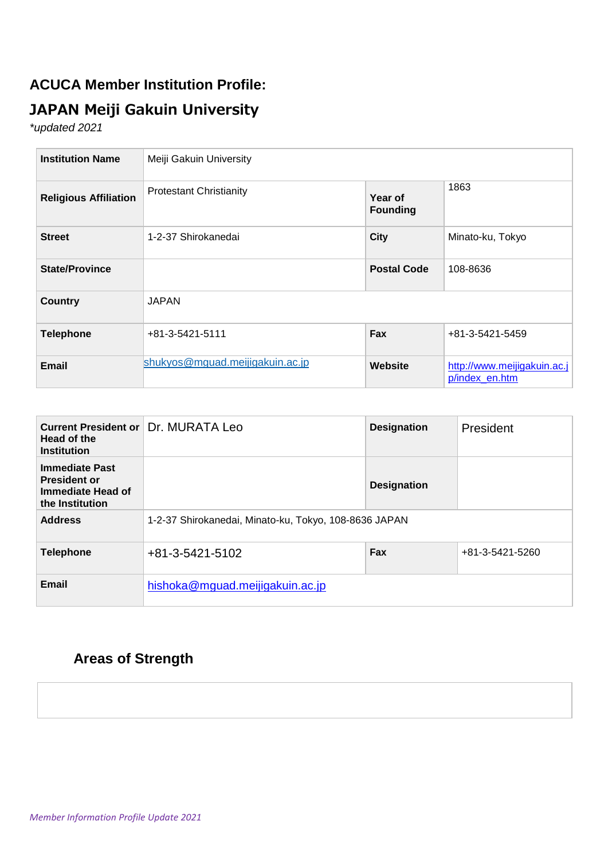### **ACUCA Member Institution Profile:**

# **JAPAN Meiji Gakuin University**

*\*updated 2021*

| <b>Institution Name</b>      | Meiji Gakuin University         |                            |                                               |  |
|------------------------------|---------------------------------|----------------------------|-----------------------------------------------|--|
| <b>Religious Affiliation</b> | <b>Protestant Christianity</b>  | Year of<br><b>Founding</b> | 1863                                          |  |
| <b>Street</b>                | 1-2-37 Shirokanedai             | <b>City</b>                | Minato-ku, Tokyo                              |  |
| <b>State/Province</b>        |                                 | <b>Postal Code</b>         | 108-8636                                      |  |
| <b>Country</b>               | <b>JAPAN</b>                    |                            |                                               |  |
| <b>Telephone</b>             | +81-3-5421-5111                 | Fax                        | +81-3-5421-5459                               |  |
| <b>Email</b>                 | shukyos@mguad.meijigakuin.ac.jp | Website                    | http://www.meijigakuin.ac.j<br>p/index_en.htm |  |

| <b>Current President or</b><br>Head of the<br><b>Institution</b>                     | Dr. MURATA Leo                                        | <b>Designation</b> | President       |  |
|--------------------------------------------------------------------------------------|-------------------------------------------------------|--------------------|-----------------|--|
| <b>Immediate Past</b><br><b>President or</b><br>Immediate Head of<br>the Institution |                                                       | <b>Designation</b> |                 |  |
| <b>Address</b>                                                                       | 1-2-37 Shirokanedai, Minato-ku, Tokyo, 108-8636 JAPAN |                    |                 |  |
| <b>Telephone</b>                                                                     | +81-3-5421-5102                                       | Fax                | +81-3-5421-5260 |  |
| <b>Email</b>                                                                         | hishoka@mguad.meijigakuin.ac.jp                       |                    |                 |  |

## **Areas of Strength**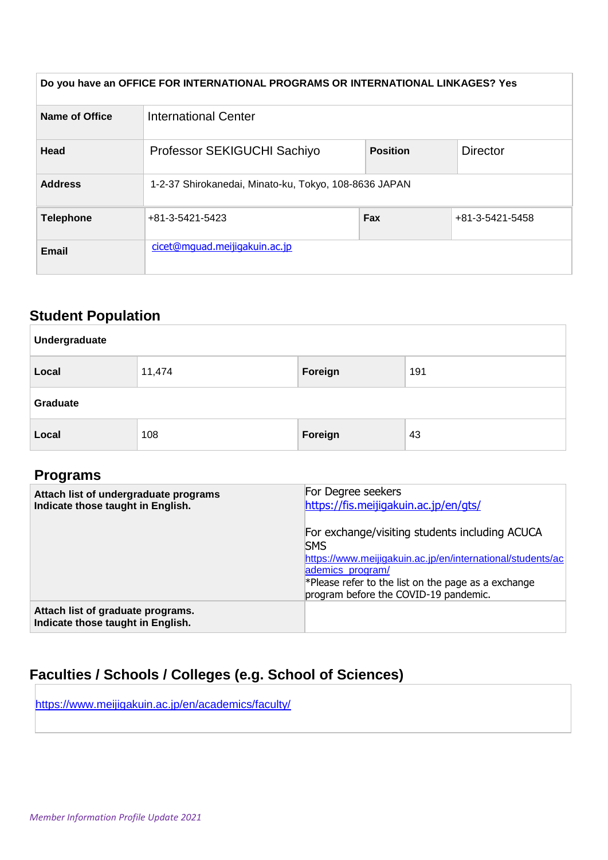| Do you have an OFFICE FOR INTERNATIONAL PROGRAMS OR INTERNATIONAL LINKAGES? Yes |                                                       |     |                 |  |
|---------------------------------------------------------------------------------|-------------------------------------------------------|-----|-----------------|--|
| <b>Name of Office</b>                                                           | <b>International Center</b>                           |     |                 |  |
| <b>Head</b>                                                                     | Professor SEKIGUCHI Sachiyo<br><b>Position</b>        |     | <b>Director</b> |  |
| <b>Address</b>                                                                  | 1-2-37 Shirokanedai, Minato-ku, Tokyo, 108-8636 JAPAN |     |                 |  |
| <b>Telephone</b>                                                                | +81-3-5421-5423                                       | Fax | +81-3-5421-5458 |  |
| Email                                                                           | cicet@mquad.meijigakuin.ac.jp                         |     |                 |  |

## **Student Population**

| Undergraduate |        |         |     |  |  |
|---------------|--------|---------|-----|--|--|
| Local         | 11,474 | Foreign | 191 |  |  |
| Graduate      |        |         |     |  |  |
| Local         | 108    | Foreign | 43  |  |  |

### **Programs**

| Attach list of undergraduate programs<br>Indicate those taught in English. | For Degree seekers<br>https://fis.meijigakuin.ac.jp/en/gts/                                                                                                                                                                                       |  |  |  |
|----------------------------------------------------------------------------|---------------------------------------------------------------------------------------------------------------------------------------------------------------------------------------------------------------------------------------------------|--|--|--|
|                                                                            | For exchange/visiting students including ACUCA<br><b>SMS</b><br>https://www.meijigakuin.ac.jp/en/international/students/ac<br>ademics_program/<br>$*$ Please refer to the list on the page as a exchange<br>program before the COVID-19 pandemic. |  |  |  |
| Attach list of graduate programs.<br>Indicate those taught in English.     |                                                                                                                                                                                                                                                   |  |  |  |

## **Faculties / Schools / Colleges (e.g. School of Sciences)**

<https://www.meijigakuin.ac.jp/en/academics/faculty/>